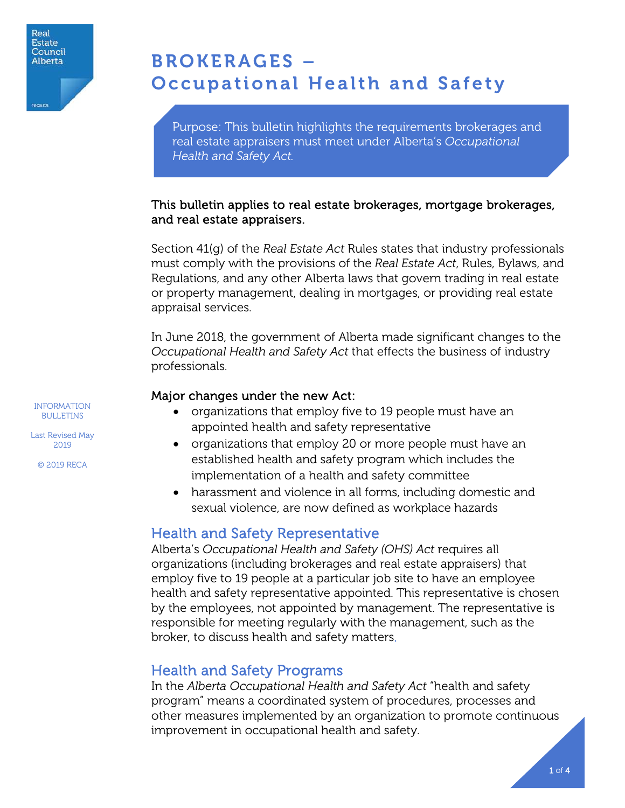

 $\overline{\phantom{a}}$ ľ

# BROKERAGES – Occupational Health and Safety

Purpose: This bulletin highlights the requirements brokerages and real estate appraisers must meet under Alberta's *Occupational Health and Safety Act.* 

#### This bulletin applies to real estate brokerages, mortgage brokerages, and real estate appraisers.

Section 41(g) of the *Real Estate Act* Rules states that industry professionals must comply with the provisions of the *Real Estate Act*, Rules, Bylaws, and Regulations, and any other Alberta laws that govern trading in real estate or property management, dealing in mortgages, or providing real estate appraisal services.

In June 2018, the government of Alberta made significant changes to the *Occupational Health and Safety Act* that effects the business of industry professionals.

#### Major changes under the new Act:

- organizations that employ five to 19 people must have an appointed health and safety representative
- organizations that employ 20 or more people must have an established health and safety program which includes the implementation of a health and safety committee
- harassment and violence in all forms, including domestic and sexual violence, are now defined as workplace hazards

## Health and Safety Representative

Alberta's *Occupational Health and Safety (OHS) Act* requires all organizations (including brokerages and real estate appraisers) that employ five to 19 people at a particular job site to have an employee health and safety representative appointed. This representative is chosen by the employees, not appointed by management. The representative is responsible for meeting regularly with the management, such as the broker, to discuss health and safety matters.

## Health and Safety Programs

In the *Alberta Occupational Health and Safety Act* "health and safety program" means a coordinated system of procedures, processes and other measures implemented by an organization to promote continuous improvement in occupational health and safety.

INFORMATION BULLETINS

Last Revised May 2019

© 2019 RECA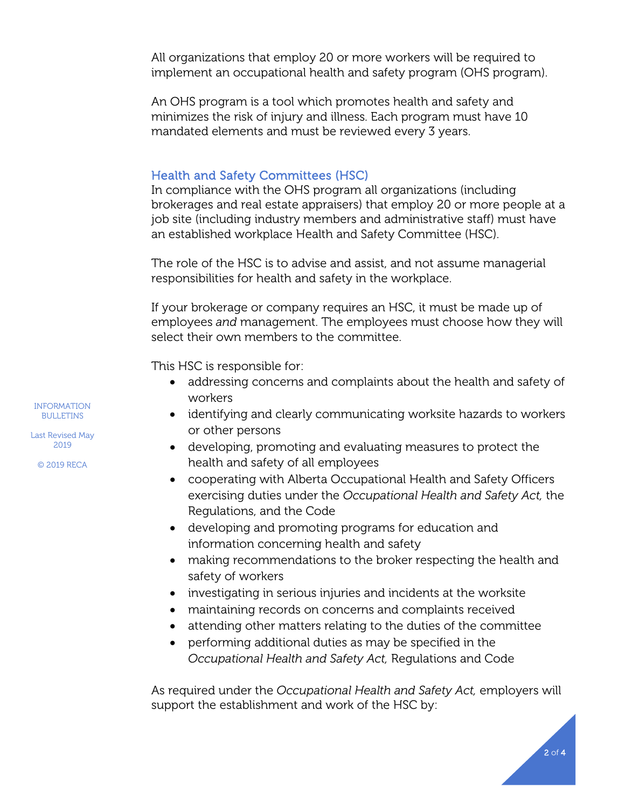All organizations that employ 20 or more workers will be required to implement an occupational health and safety program (OHS program).

An OHS program is a tool which promotes health and safety and minimizes the risk of injury and illness. Each program must have 10 mandated elements and must be reviewed every 3 years.

#### Health and Safety Committees (HSC)

In compliance with the OHS program all organizations (including brokerages and real estate appraisers) that employ 20 or more people at a job site (including industry members and administrative staff) must have an established workplace Health and Safety Committee (HSC).

The role of the HSC is to advise and assist, and not assume managerial responsibilities for health and safety in the workplace.

If your brokerage or company requires an HSC, it must be made up of employees *and* management. The employees must choose how they will select their own members to the committee.

This HSC is responsible for:

- addressing concerns and complaints about the health and safety of workers
- identifying and clearly communicating worksite hazards to workers or other persons
- developing, promoting and evaluating measures to protect the health and safety of all employees
- cooperating with Alberta Occupational Health and Safety Officers exercising duties under the *Occupational Health and Safety Act,* the Regulations, and the Code
- developing and promoting programs for education and information concerning health and safety
- making recommendations to the broker respecting the health and safety of workers
- investigating in serious injuries and incidents at the worksite
- maintaining records on concerns and complaints received
- attending other matters relating to the duties of the committee
- performing additional duties as may be specified in the *Occupational Health and Safety Act,* Regulations and Code

As required under the *Occupational Health and Safety Act,* employers will support the establishment and work of the HSC by:

INFORMATION BULLETINS

Last Revised May 2019

© 2019 RECA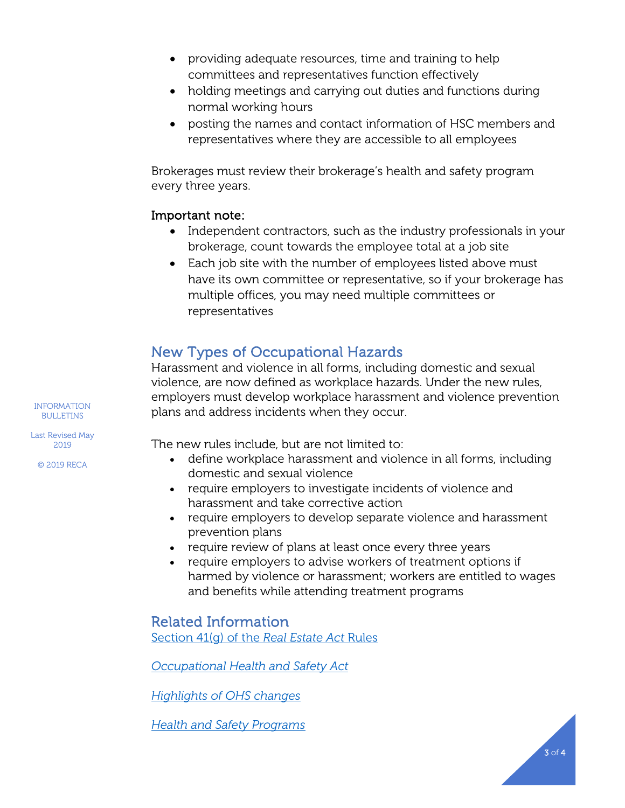- providing adequate resources, time and training to help committees and representatives function effectively
- holding meetings and carrying out duties and functions during normal working hours
- posting the names and contact information of HSC members and representatives where they are accessible to all employees

Brokerages must review their brokerage's health and safety program every three years.

#### Important note:

- Independent contractors, such as the industry professionals in your brokerage, count towards the employee total at a job site
- Each job site with the number of employees listed above must have its own committee or representative, so if your brokerage has multiple offices, you may need multiple committees or representatives

# New Types of Occupational Hazards

Harassment and violence in all forms, including domestic and sexual violence, are now defined as workplace hazards. Under the new rules, employers must develop workplace harassment and violence prevention plans and address incidents when they occur.

The new rules include, but are not limited to:

- define workplace harassment and violence in all forms, including domestic and sexual violence
- require employers to investigate incidents of violence and harassment and take corrective action
- require employers to develop separate violence and harassment prevention plans
- require review of plans at least once every three years
- require employers to advise workers of treatment options if harmed by violence or harassment; workers are entitled to wages and benefits while attending treatment programs

## Related Information

[Section 41\(g\) of the](https://www.reca.ca/about-reca/legislation-standards/real-estate-act-rules/#Section41) *Real Estate Act* Rules

*[Occupational Health and Safety Act](https://www.alberta.ca/occupational-health-safety.aspx)*

*[Highlights of OHS changes](https://www.alberta.ca/assets/documents/ohs-changes-highlights.pdf)*

*[Health and Safety Programs](https://www.alberta.ca/health-safety-program.aspx)*

INFORMATION BULLETINS

Last Revised May 2019

© 2019 RECA